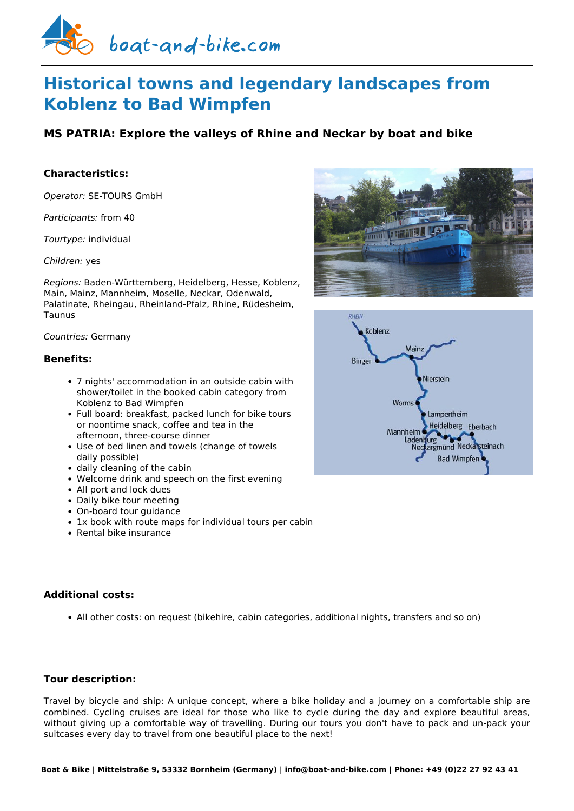

# **Historical towns and legendary landscapes from Koblenz to Bad Wimpfen**

# **MS PATRIA: Explore the valleys of Rhine and Neckar by boat and bike**

# **Characteristics:**

*Operator:* [SE-TOURS GmbH](https://www.boat-and-bike.com/operator/se-tours-gmbh.html) 

*Participants:* from 40

*Tourtype:* individual

*Children:* yes

*Regions:* Baden-Württemberg, Heidelberg, Hesse, Koblenz, Main, Mainz, Mannheim, Moselle, Neckar, Odenwald, Palatinate, Rheingau, Rheinland-Pfalz, Rhine, Rüdesheim, Taunus

#### *Countries:* Germany

#### **Benefits:**

- 7 nights' accommodation in an outside cabin with shower/toilet in the booked cabin category from Koblenz to Bad Wimpfen
- Full board: breakfast, packed lunch for bike tours or noontime snack, coffee and tea in the afternoon, three-course dinner
- Use of bed linen and towels (change of towels daily possible)
- daily cleaning of the cabin
- Welcome drink and speech on the first evening
- All port and lock dues
- Daily bike tour meeting
- On-board tour guidance
- 1x book with route maps for individual tours per cabin
- Rental bike insurance

## **Additional costs:**

All other costs: on request (bikehire, cabin categories, additional nights, transfers and so on)

## **Tour description:**

Travel by bicycle and ship: A unique concept, where a bike holiday and a journey on a comfortable ship are combined. Cycling cruises are ideal for those who like to cycle during the day and explore beautiful areas, without giving up a comfortable way of travelling. During our tours you don't have to pack and un-pack your suitcases every day to travel from one beautiful place to the next!



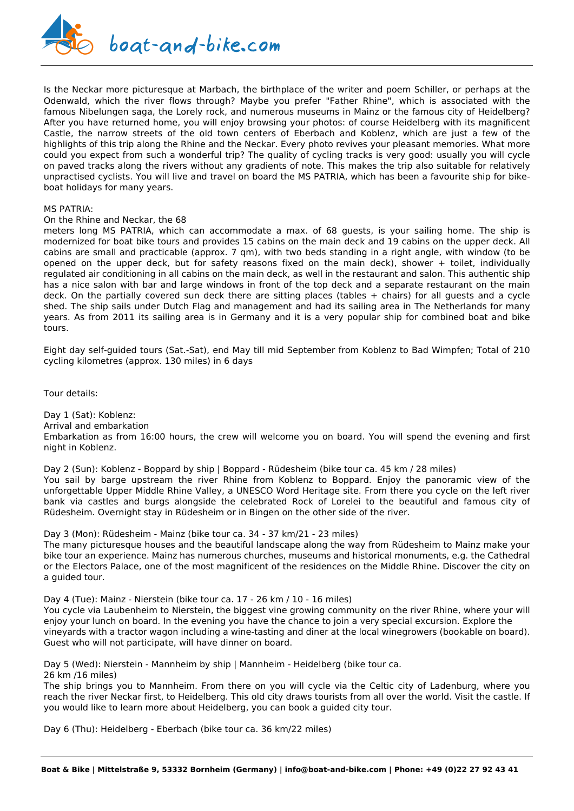

Is the Neckar more picturesque at Marbach, the birthplace of the writer and poem Schiller, or perhaps at the Odenwald, which the river flows through? Maybe you prefer "Father Rhine", which is associated with the famous Nibelungen saga, the Lorely rock, and numerous museums in Mainz or the famous city of Heidelberg? After you have returned home, you will enjoy browsing your photos: of course Heidelberg with its magnificent Castle, the narrow streets of the old town centers of Eberbach and Koblenz, which are just a few of the highlights of this trip along the Rhine and the Neckar. Every photo revives your pleasant memories. What more could you expect from such a wonderful trip? The quality of cycling tracks is very good: usually you will cycle on paved tracks along the rivers without any gradients of note. This makes the trip also suitable for relatively unpractised cyclists. You will live and travel on board the MS PATRIA, which has been a favourite ship for bikeboat holidays for many years.

#### MS PATRIA:

#### On the Rhine and Neckar, the 68

meters long MS PATRIA, which can accommodate a max. of 68 guests, is your sailing home. The ship is modernized for boat bike tours and provides 15 cabins on the main deck and 19 cabins on the upper deck. All cabins are small and practicable (approx. 7 qm), with two beds standing in a right angle, with window (to be opened on the upper deck, but for safety reasons fixed on the main deck), shower + toilet, individually regulated air conditioning in all cabins on the main deck, as well in the restaurant and salon. This authentic ship has a nice salon with bar and large windows in front of the top deck and a separate restaurant on the main deck. On the partially covered sun deck there are sitting places (tables + chairs) for all guests and a cycle shed. The ship sails under Dutch Flag and management and had its sailing area in The Netherlands for many years. As from 2011 its sailing area is in Germany and it is a very popular ship for combined boat and bike tours.

Eight day self-guided tours (Sat.-Sat), end May till mid September from Koblenz to Bad Wimpfen; Total of 210 cycling kilometres (approx. 130 miles) in 6 days

Tour details:

Day 1 (Sat): Koblenz: Arrival and embarkation Embarkation as from 16:00 hours, the crew will welcome you on board. You will spend the evening and first night in Koblenz.

Day 2 (Sun): Koblenz - Boppard by ship | Boppard - Rüdesheim (bike tour ca. 45 km / 28 miles) You sail by barge upstream the river Rhine from Koblenz to Boppard. Enjoy the panoramic view of the unforgettable Upper Middle Rhine Valley, a UNESCO Word Heritage site. From there you cycle on the left river bank via castles and burgs alongside the celebrated Rock of Lorelei to the beautiful and famous city of Rüdesheim. Overnight stay in Rüdesheim or in Bingen on the other side of the river.

Day 3 (Mon): Rüdesheim - Mainz (bike tour ca. 34 - 37 km/21 - 23 miles) The many picturesque houses and the beautiful landscape along the way from Rüdesheim to Mainz make your bike tour an experience. Mainz has numerous churches, museums and historical monuments, e.g. the Cathedral or the Electors Palace, one of the most magnificent of the residences on the Middle Rhine. Discover the city on

Day 4 (Tue): Mainz - Nierstein (bike tour ca. 17 - 26 km / 10 - 16 miles) You cycle via Laubenheim to Nierstein, the biggest vine growing community on the river Rhine, where your will enjoy your lunch on board. In the evening you have the chance to join a very special excursion. Explore the vineyards with a tractor wagon including a wine-tasting and diner at the local winegrowers (bookable on board). Guest who will not participate, will have dinner on board.

Day 5 (Wed): Nierstein - Mannheim by ship | Mannheim - Heidelberg (bike tour ca.

26 km /16 miles)

a guided tour.

The ship brings you to Mannheim. From there on you will cycle via the Celtic city of Ladenburg, where you reach the river Neckar first, to Heidelberg. This old city draws tourists from all over the world. Visit the castle. If you would like to learn more about Heidelberg, you can book a guided city tour.

Day 6 (Thu): Heidelberg - Eberbach (bike tour ca. 36 km/22 miles)